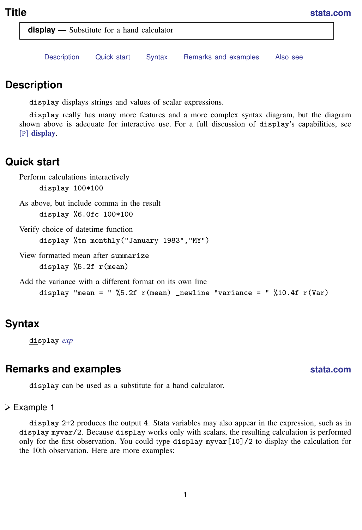<span id="page-0-4"></span>**display —** Substitute for a hand calculator

[Description](#page-0-0) [Quick start](#page-0-1) [Syntax](#page-0-2) [Remarks and examples](#page-0-3) [Also see](#page-1-0)

## <span id="page-0-0"></span>**Description**

display displays strings and values of scalar expressions.

display really has many more features and a more complex syntax diagram, but the diagram shown above is adequate for interactive use. For a full discussion of display's capabilities, see [P] [display](https://www.stata.com/manuals/pdisplay.pdf#pdisplay).

## <span id="page-0-1"></span>**Quick start**

```
Perform calculations interactively
     display 100*100
As above, but include comma in the result
     display %6.0fc 100*100
Verify choice of datetime function
     display %tm monthly("January 1983","MY")
View formatted mean after summarize
     display %5.2f r(mean)
Add the variance with a different format on its own line
     display "mean = " %5.2f r(mean) _newline "variance = " %10.4f r(Var)
```
# <span id="page-0-2"></span>**Syntax**

<span id="page-0-3"></span>display *[exp](https://www.stata.com/manuals/u13.pdf#u13Functionsandexpressions)*

#### **Remarks and examples status status [stata.com](http://stata.com)**

display can be used as a substitute for a hand calculator.

#### Example 1

display 2+2 produces the output 4. Stata variables may also appear in the expression, such as in display myvar/2. Because display works only with scalars, the resulting calculation is performed only for the first observation. You could type display myvar[10]/2 to display the calculation for the 10th observation. Here are more examples: